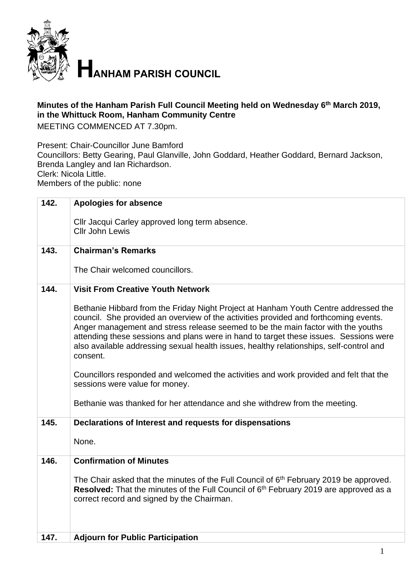

**HANHAM PARISH COUNCIL** 

## **Minutes of the Hanham Parish Full Council Meeting held on Wednesday 6 th March 2019, in the Whittuck Room, Hanham Community Centre**

MEETING COMMENCED AT 7.30pm.

Present: Chair-Councillor June Bamford

Councillors: Betty Gearing, Paul Glanville, John Goddard, Heather Goddard, Bernard Jackson, Brenda Langley and Ian Richardson.

Clerk: Nicola Little.

Members of the public: none

| 142. | <b>Apologies for absence</b>                                                                                                                                                                                                                                                                                                                                                                                                                                    |
|------|-----------------------------------------------------------------------------------------------------------------------------------------------------------------------------------------------------------------------------------------------------------------------------------------------------------------------------------------------------------------------------------------------------------------------------------------------------------------|
|      | Cllr Jacqui Carley approved long term absence.<br><b>Cllr John Lewis</b>                                                                                                                                                                                                                                                                                                                                                                                        |
| 143. | <b>Chairman's Remarks</b>                                                                                                                                                                                                                                                                                                                                                                                                                                       |
|      | The Chair welcomed councillors.                                                                                                                                                                                                                                                                                                                                                                                                                                 |
| 144. | <b>Visit From Creative Youth Network</b>                                                                                                                                                                                                                                                                                                                                                                                                                        |
|      | Bethanie Hibbard from the Friday Night Project at Hanham Youth Centre addressed the<br>council. She provided an overview of the activities provided and forthcoming events.<br>Anger management and stress release seemed to be the main factor with the youths<br>attending these sessions and plans were in hand to target these issues. Sessions were<br>also available addressing sexual health issues, healthy relationships, self-control and<br>consent. |
|      | Councillors responded and welcomed the activities and work provided and felt that the<br>sessions were value for money.                                                                                                                                                                                                                                                                                                                                         |
|      | Bethanie was thanked for her attendance and she withdrew from the meeting.                                                                                                                                                                                                                                                                                                                                                                                      |
| 145. | Declarations of Interest and requests for dispensations                                                                                                                                                                                                                                                                                                                                                                                                         |
|      | None.                                                                                                                                                                                                                                                                                                                                                                                                                                                           |
| 146. | <b>Confirmation of Minutes</b>                                                                                                                                                                                                                                                                                                                                                                                                                                  |
|      | The Chair asked that the minutes of the Full Council of 6 <sup>th</sup> February 2019 be approved.<br>Resolved: That the minutes of the Full Council of 6 <sup>th</sup> February 2019 are approved as a<br>correct record and signed by the Chairman.                                                                                                                                                                                                           |
| 147. | <b>Adjourn for Public Participation</b>                                                                                                                                                                                                                                                                                                                                                                                                                         |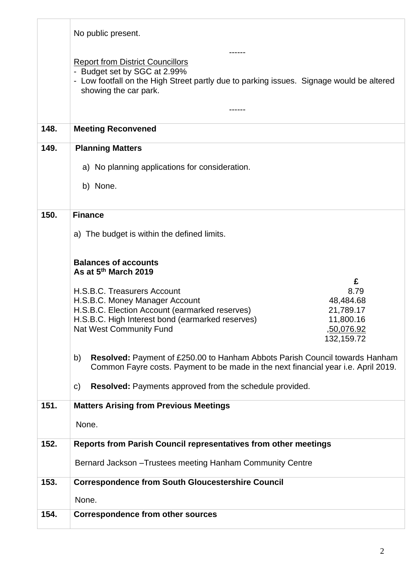|      | No public present.                                                                                                                                                                                                                                                             |
|------|--------------------------------------------------------------------------------------------------------------------------------------------------------------------------------------------------------------------------------------------------------------------------------|
|      | <b>Report from District Councillors</b><br>- Budget set by SGC at 2.99%<br>- Low footfall on the High Street partly due to parking issues. Signage would be altered<br>showing the car park.                                                                                   |
|      |                                                                                                                                                                                                                                                                                |
| 148. | <b>Meeting Reconvened</b>                                                                                                                                                                                                                                                      |
| 149. | <b>Planning Matters</b>                                                                                                                                                                                                                                                        |
|      | a) No planning applications for consideration.                                                                                                                                                                                                                                 |
|      | b) None.                                                                                                                                                                                                                                                                       |
| 150. | <b>Finance</b>                                                                                                                                                                                                                                                                 |
|      | a) The budget is within the defined limits.                                                                                                                                                                                                                                    |
|      | <b>Balances of accounts</b><br>As at 5 <sup>th</sup> March 2019                                                                                                                                                                                                                |
|      | £<br>H.S.B.C. Treasurers Account<br>8.79<br>H.S.B.C. Money Manager Account<br>48,484.68<br>H.S.B.C. Election Account (earmarked reserves)<br>21,789.17<br>H.S.B.C. High Interest bond (earmarked reserves)<br>11,800.16<br>Nat West Community Fund<br>,50,076.92<br>132,159.72 |
|      | Resolved: Payment of £250.00 to Hanham Abbots Parish Council towards Hanham<br>b)<br>Common Fayre costs. Payment to be made in the next financial year i.e. April 2019.                                                                                                        |
|      | <b>Resolved:</b> Payments approved from the schedule provided.<br>$\mathsf{C}$                                                                                                                                                                                                 |
| 151. | <b>Matters Arising from Previous Meetings</b>                                                                                                                                                                                                                                  |
|      | None.                                                                                                                                                                                                                                                                          |
| 152. | Reports from Parish Council representatives from other meetings                                                                                                                                                                                                                |
|      | Bernard Jackson - Trustees meeting Hanham Community Centre                                                                                                                                                                                                                     |
| 153. | <b>Correspondence from South Gloucestershire Council</b>                                                                                                                                                                                                                       |
|      | None.                                                                                                                                                                                                                                                                          |
| 154. | <b>Correspondence from other sources</b>                                                                                                                                                                                                                                       |